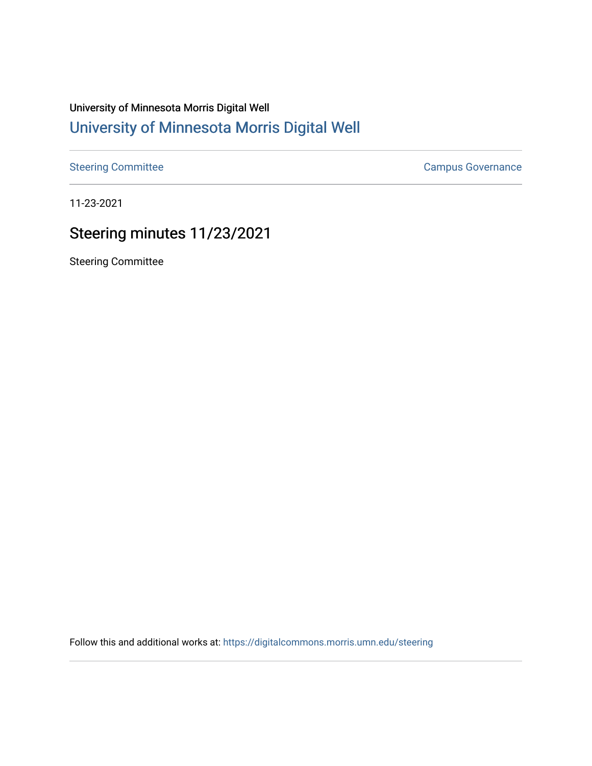## University of Minnesota Morris Digital Well [University of Minnesota Morris Digital Well](https://digitalcommons.morris.umn.edu/)

[Steering Committee](https://digitalcommons.morris.umn.edu/steering) **Campus Governance** Campus Governance

11-23-2021

## Steering minutes 11/23/2021

Steering Committee

Follow this and additional works at: [https://digitalcommons.morris.umn.edu/steering](https://digitalcommons.morris.umn.edu/steering?utm_source=digitalcommons.morris.umn.edu%2Fsteering%2F73&utm_medium=PDF&utm_campaign=PDFCoverPages)